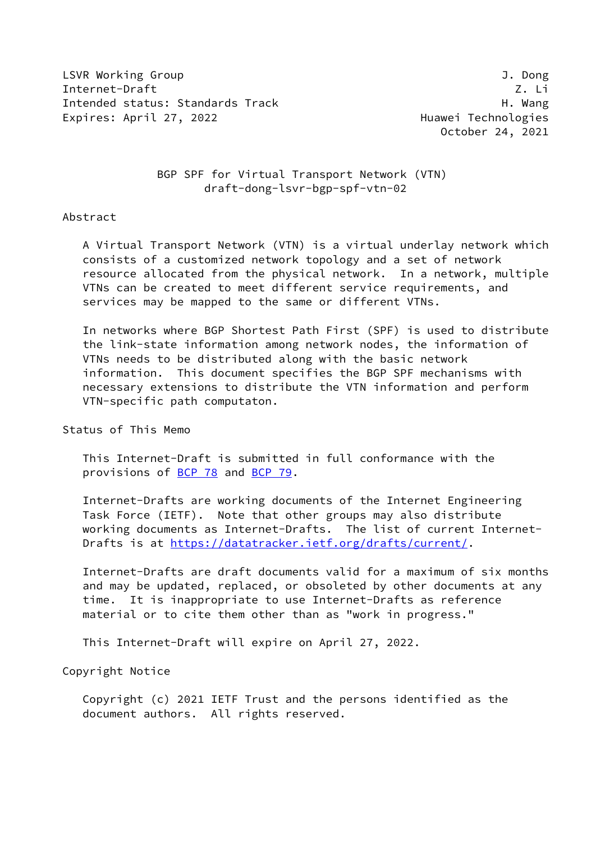LSVR Working Group J. Dong Internet-Draft Z. Li Intended status: Standards Track H. Wang Expires: April 27, 2022 and the controller expires: April 27, 2022 and the controller experience and Huawei Technologies

October 24, 2021

# BGP SPF for Virtual Transport Network (VTN) draft-dong-lsvr-bgp-spf-vtn-02

#### Abstract

 A Virtual Transport Network (VTN) is a virtual underlay network which consists of a customized network topology and a set of network resource allocated from the physical network. In a network, multiple VTNs can be created to meet different service requirements, and services may be mapped to the same or different VTNs.

 In networks where BGP Shortest Path First (SPF) is used to distribute the link-state information among network nodes, the information of VTNs needs to be distributed along with the basic network information. This document specifies the BGP SPF mechanisms with necessary extensions to distribute the VTN information and perform VTN-specific path computaton.

#### Status of This Memo

 This Internet-Draft is submitted in full conformance with the provisions of [BCP 78](https://datatracker.ietf.org/doc/pdf/bcp78) and [BCP 79](https://datatracker.ietf.org/doc/pdf/bcp79).

 Internet-Drafts are working documents of the Internet Engineering Task Force (IETF). Note that other groups may also distribute working documents as Internet-Drafts. The list of current Internet Drafts is at<https://datatracker.ietf.org/drafts/current/>.

 Internet-Drafts are draft documents valid for a maximum of six months and may be updated, replaced, or obsoleted by other documents at any time. It is inappropriate to use Internet-Drafts as reference material or to cite them other than as "work in progress."

This Internet-Draft will expire on April 27, 2022.

Copyright Notice

 Copyright (c) 2021 IETF Trust and the persons identified as the document authors. All rights reserved.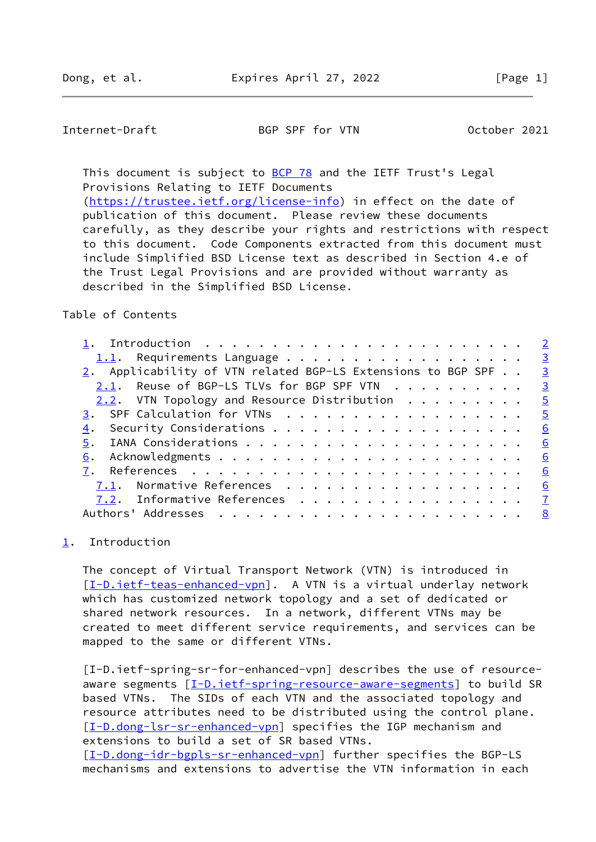<span id="page-1-1"></span>Internet-Draft BGP SPF for VTN October 2021

This document is subject to [BCP 78](https://datatracker.ietf.org/doc/pdf/bcp78) and the IETF Trust's Legal Provisions Relating to IETF Documents [\(https://trustee.ietf.org/license-info](https://trustee.ietf.org/license-info)) in effect on the date of

 publication of this document. Please review these documents carefully, as they describe your rights and restrictions with respect to this document. Code Components extracted from this document must include Simplified BSD License text as described in Section 4.e of the Trust Legal Provisions and are provided without warranty as described in the Simplified BSD License.

## Table of Contents

| 1.1. Requirements Language 3                                           |                         |
|------------------------------------------------------------------------|-------------------------|
| 2. Applicability of VTN related BGP-LS Extensions to BGP SPF $\cdot$ . | $\overline{\mathbf{3}}$ |
| 2.1. Reuse of BGP-LS TLVs for BGP SPF VTN                              | $\overline{\mathbf{3}}$ |
| 2.2. VTN Topology and Resource Distribution                            | $\overline{5}$          |
| 3. SPF Calculation for VTNs                                            | $\overline{5}$          |
| 4.                                                                     | 6                       |
| 5.                                                                     | 6                       |
| 6.                                                                     | <u>6</u>                |
|                                                                        | <u>6</u>                |
| 7.1. Normative References                                              | <u>6</u>                |
| 7.2. Informative References                                            | $\overline{7}$          |
|                                                                        | <u>8</u>                |
|                                                                        |                         |

## <span id="page-1-0"></span>[1](#page-1-0). Introduction

 The concept of Virtual Transport Network (VTN) is introduced in [\[I-D.ietf-teas-enhanced-vpn\]](#page-7-2). A VTN is a virtual underlay network which has customized network topology and a set of dedicated or shared network resources. In a network, different VTNs may be created to meet different service requirements, and services can be mapped to the same or different VTNs.

 [I-D.ietf-spring-sr-for-enhanced-vpn] describes the use of resource- aware segments [\[I-D.ietf-spring-resource-aware-segments](#page-6-3)] to build SR based VTNs. The SIDs of each VTN and the associated topology and resource attributes need to be distributed using the control plane. [\[I-D.dong-lsr-sr-enhanced-vpn](#page-7-3)] specifies the IGP mechanism and extensions to build a set of SR based VTNs.

 [\[I-D.dong-idr-bgpls-sr-enhanced-vpn\]](#page-6-4) further specifies the BGP-LS mechanisms and extensions to advertise the VTN information in each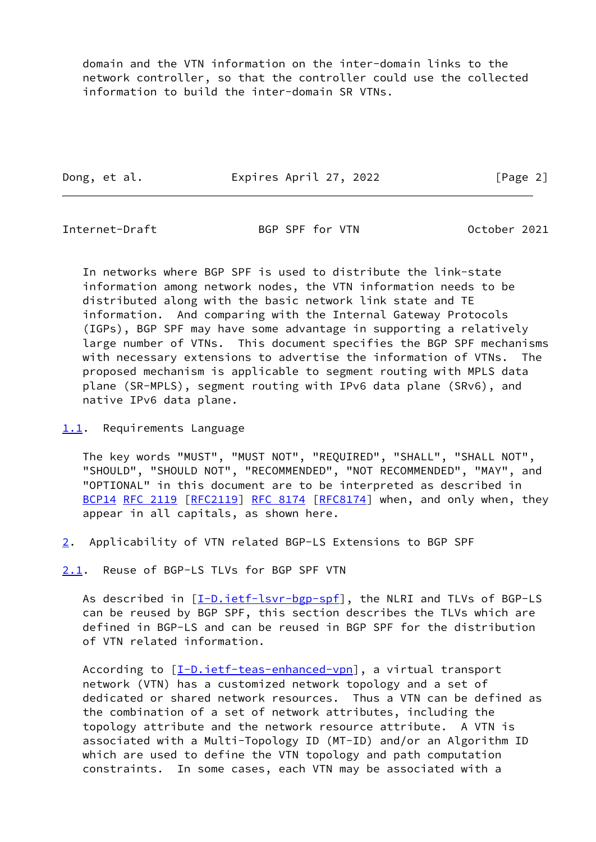domain and the VTN information on the inter-domain links to the network controller, so that the controller could use the collected information to build the inter-domain SR VTNs.

Dong, et al. Expires April 27, 2022 [Page 2]

<span id="page-2-1"></span>

Internet-Draft BGP SPF for VTN October 2021

 In networks where BGP SPF is used to distribute the link-state information among network nodes, the VTN information needs to be distributed along with the basic network link state and TE information. And comparing with the Internal Gateway Protocols (IGPs), BGP SPF may have some advantage in supporting a relatively large number of VTNs. This document specifies the BGP SPF mechanisms with necessary extensions to advertise the information of VTNs. The proposed mechanism is applicable to segment routing with MPLS data plane (SR-MPLS), segment routing with IPv6 data plane (SRv6), and native IPv6 data plane.

## <span id="page-2-0"></span>[1.1](#page-2-0). Requirements Language

 The key words "MUST", "MUST NOT", "REQUIRED", "SHALL", "SHALL NOT", "SHOULD", "SHOULD NOT", "RECOMMENDED", "NOT RECOMMENDED", "MAY", and "OPTIONAL" in this document are to be interpreted as described in [BCP14](https://datatracker.ietf.org/doc/pdf/bcp14) [RFC 2119](https://datatracker.ietf.org/doc/pdf/rfc2119) [\[RFC2119](https://datatracker.ietf.org/doc/pdf/rfc2119)] [RFC 8174](https://datatracker.ietf.org/doc/pdf/rfc8174) [[RFC8174](https://datatracker.ietf.org/doc/pdf/rfc8174)] when, and only when, they appear in all capitals, as shown here.

<span id="page-2-2"></span>[2](#page-2-2). Applicability of VTN related BGP-LS Extensions to BGP SPF

<span id="page-2-3"></span>[2.1](#page-2-3). Reuse of BGP-LS TLVs for BGP SPF VTN

As described in  $[\underline{I-D.iett-lsvr-bgp-spf}]$ , the NLRI and TLVs of BGP-LS can be reused by BGP SPF, this section describes the TLVs which are defined in BGP-LS and can be reused in BGP SPF for the distribution of VTN related information.

According to  $[\underline{I-D.iett-teas-enhanced-vpn}]$ , a virtual transport network (VTN) has a customized network topology and a set of dedicated or shared network resources. Thus a VTN can be defined as the combination of a set of network attributes, including the topology attribute and the network resource attribute. A VTN is associated with a Multi-Topology ID (MT-ID) and/or an Algorithm ID which are used to define the VTN topology and path computation constraints. In some cases, each VTN may be associated with a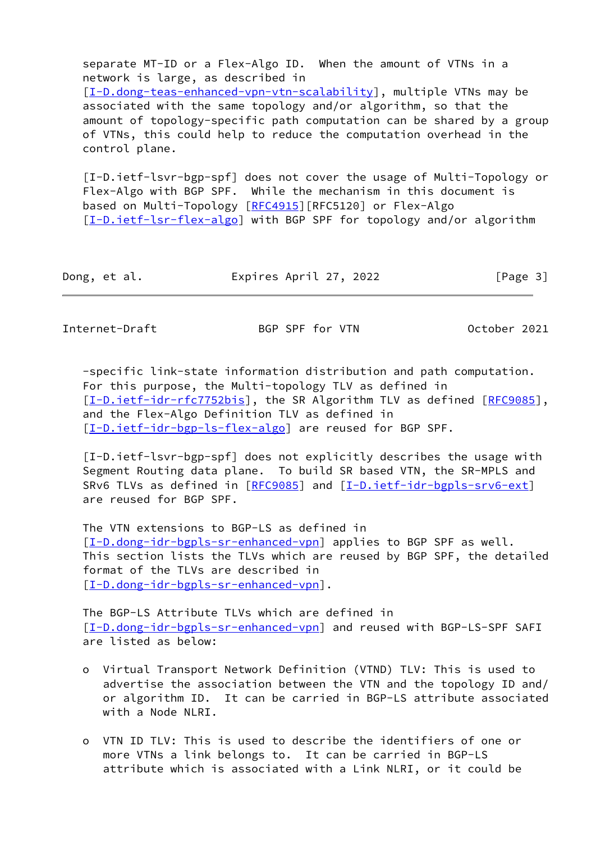separate MT-ID or a Flex-Algo ID. When the amount of VTNs in a network is large, as described in [\[I-D.dong-teas-enhanced-vpn-vtn-scalability\]](#page-7-4), multiple VTNs may be associated with the same topology and/or algorithm, so that the amount of topology-specific path computation can be shared by a group of VTNs, this could help to reduce the computation overhead in the control plane.

<span id="page-3-0"></span> [I-D.ietf-lsvr-bgp-spf] does not cover the usage of Multi-Topology or Flex-Algo with BGP SPF. While the mechanism in this document is based on Multi-Topology [\[RFC4915](https://datatracker.ietf.org/doc/pdf/rfc4915)][RFC5120] or Flex-Algo [\[I-D.ietf-lsr-flex-algo](#page-7-5)] with BGP SPF for topology and/or algorithm

| Dong, et al. | Expires April 27, 2022 | [Page 3] |
|--------------|------------------------|----------|
|--------------|------------------------|----------|

Internet-Draft BGP SPF for VTN October 2021

 -specific link-state information distribution and path computation. For this purpose, the Multi-topology TLV as defined in [\[I-D.ietf-idr-rfc7752bis](#page-6-5)], the SR Algorithm TLV as defined [[RFC9085\]](https://datatracker.ietf.org/doc/pdf/rfc9085), and the Flex-Algo Definition TLV as defined in [\[I-D.ietf-idr-bgp-ls-flex-algo](#page-6-6)] are reused for BGP SPF.

 [I-D.ietf-lsvr-bgp-spf] does not explicitly describes the usage with Segment Routing data plane. To build SR based VTN, the SR-MPLS and SRv6 TLVs as defined in [\[RFC9085](https://datatracker.ietf.org/doc/pdf/rfc9085)] and [[I-D.ietf-idr-bgpls-srv6-ext](#page-6-7)] are reused for BGP SPF.

 The VTN extensions to BGP-LS as defined in [\[I-D.dong-idr-bgpls-sr-enhanced-vpn\]](#page-6-4) applies to BGP SPF as well. This section lists the TLVs which are reused by BGP SPF, the detailed format of the TLVs are described in [\[I-D.dong-idr-bgpls-sr-enhanced-vpn\]](#page-6-4).

 The BGP-LS Attribute TLVs which are defined in [\[I-D.dong-idr-bgpls-sr-enhanced-vpn\]](#page-6-4) and reused with BGP-LS-SPF SAFI are listed as below:

- o Virtual Transport Network Definition (VTND) TLV: This is used to advertise the association between the VTN and the topology ID and/ or algorithm ID. It can be carried in BGP-LS attribute associated with a Node NLRI.
- o VTN ID TLV: This is used to describe the identifiers of one or more VTNs a link belongs to. It can be carried in BGP-LS attribute which is associated with a Link NLRI, or it could be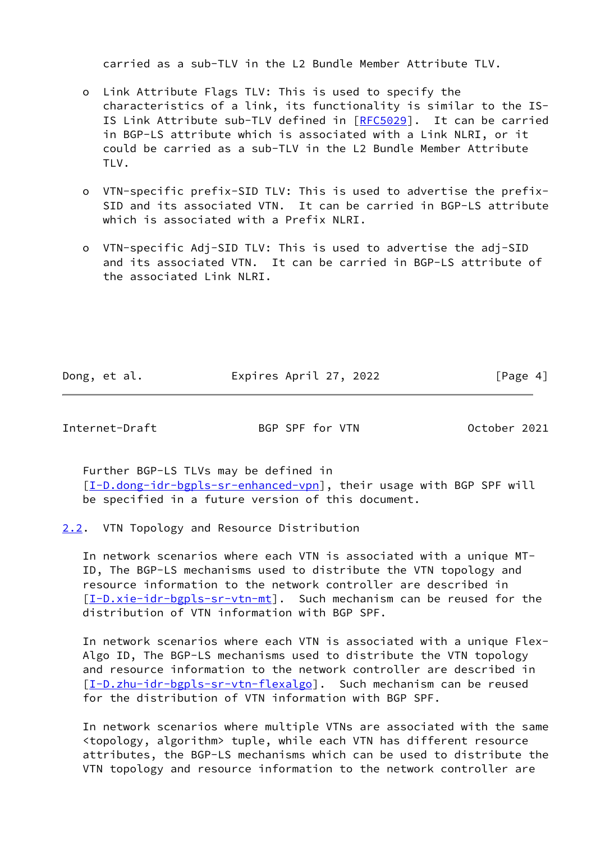carried as a sub-TLV in the L2 Bundle Member Attribute TLV.

- o Link Attribute Flags TLV: This is used to specify the characteristics of a link, its functionality is similar to the IS- IS Link Attribute sub-TLV defined in [\[RFC5029](https://datatracker.ietf.org/doc/pdf/rfc5029)]. It can be carried in BGP-LS attribute which is associated with a Link NLRI, or it could be carried as a sub-TLV in the L2 Bundle Member Attribute TLV.
- o VTN-specific prefix-SID TLV: This is used to advertise the prefix- SID and its associated VTN. It can be carried in BGP-LS attribute which is associated with a Prefix NLRI.
- o VTN-specific Adj-SID TLV: This is used to advertise the adj-SID and its associated VTN. It can be carried in BGP-LS attribute of the associated Link NLRI.

Dong, et al. Expires April 27, 2022 [Page 4]

<span id="page-4-1"></span>Internet-Draft BGP SPF for VTN October 2021

 Further BGP-LS TLVs may be defined in [\[I-D.dong-idr-bgpls-sr-enhanced-vpn\]](#page-6-4), their usage with BGP SPF will be specified in a future version of this document.

<span id="page-4-0"></span>[2.2](#page-4-0). VTN Topology and Resource Distribution

 In network scenarios where each VTN is associated with a unique MT- ID, The BGP-LS mechanisms used to distribute the VTN topology and resource information to the network controller are described in  $[I-D.xie-idr-bgpls-sr-vtn-mt]$  $[I-D.xie-idr-bgpls-sr-vtn-mt]$ . Such mechanism can be reused for the distribution of VTN information with BGP SPF.

 In network scenarios where each VTN is associated with a unique Flex- Algo ID, The BGP-LS mechanisms used to distribute the VTN topology and resource information to the network controller are described in [\[I-D.zhu-idr-bgpls-sr-vtn-flexalgo](#page-8-1)]. Such mechanism can be reused for the distribution of VTN information with BGP SPF.

 In network scenarios where multiple VTNs are associated with the same <topology, algorithm> tuple, while each VTN has different resource attributes, the BGP-LS mechanisms which can be used to distribute the VTN topology and resource information to the network controller are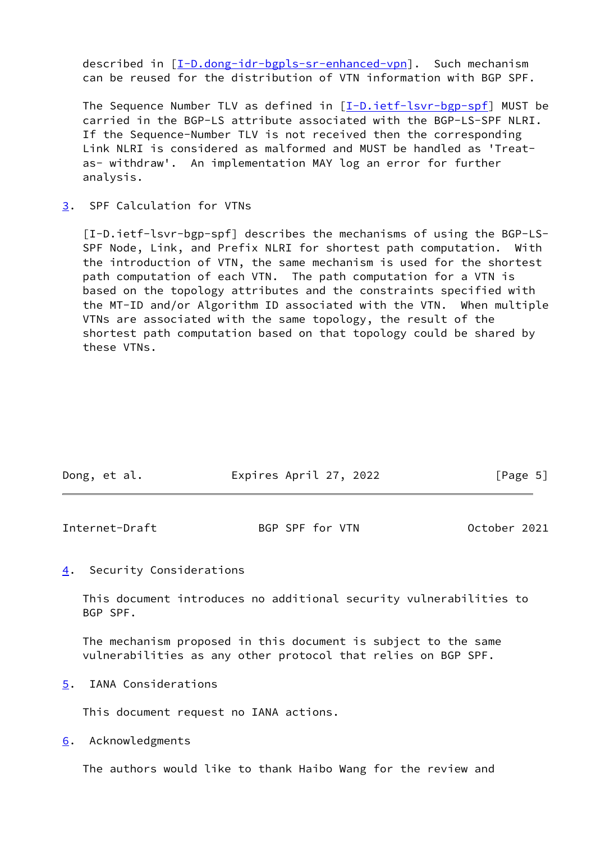described in [\[I-D.dong-idr-bgpls-sr-enhanced-vpn\]](#page-6-4). Such mechanism can be reused for the distribution of VTN information with BGP SPF.

The Sequence Number TLV as defined in  $[I-D.iett-lsvr-bgp-spf]$  MUST be carried in the BGP-LS attribute associated with the BGP-LS-SPF NLRI. If the Sequence-Number TLV is not received then the corresponding Link NLRI is considered as malformed and MUST be handled as 'Treat as- withdraw'. An implementation MAY log an error for further analysis.

<span id="page-5-0"></span>[3](#page-5-0). SPF Calculation for VTNs

 [I-D.ietf-lsvr-bgp-spf] describes the mechanisms of using the BGP-LS- SPF Node, Link, and Prefix NLRI for shortest path computation. With the introduction of VTN, the same mechanism is used for the shortest path computation of each VTN. The path computation for a VTN is based on the topology attributes and the constraints specified with the MT-ID and/or Algorithm ID associated with the VTN. When multiple VTNs are associated with the same topology, the result of the shortest path computation based on that topology could be shared by these VTNs.

| Dong, et al. | Expires April 27, 2022 | [Page 5] |
|--------------|------------------------|----------|
|              |                        |          |

<span id="page-5-2"></span>

| Internet-Draft | BGP SPF for VTN | October 2021 |  |
|----------------|-----------------|--------------|--|
|                |                 |              |  |

<span id="page-5-1"></span>[4](#page-5-1). Security Considerations

 This document introduces no additional security vulnerabilities to BGP SPF.

 The mechanism proposed in this document is subject to the same vulnerabilities as any other protocol that relies on BGP SPF.

<span id="page-5-3"></span>[5](#page-5-3). IANA Considerations

This document request no IANA actions.

<span id="page-5-4"></span>[6](#page-5-4). Acknowledgments

The authors would like to thank Haibo Wang for the review and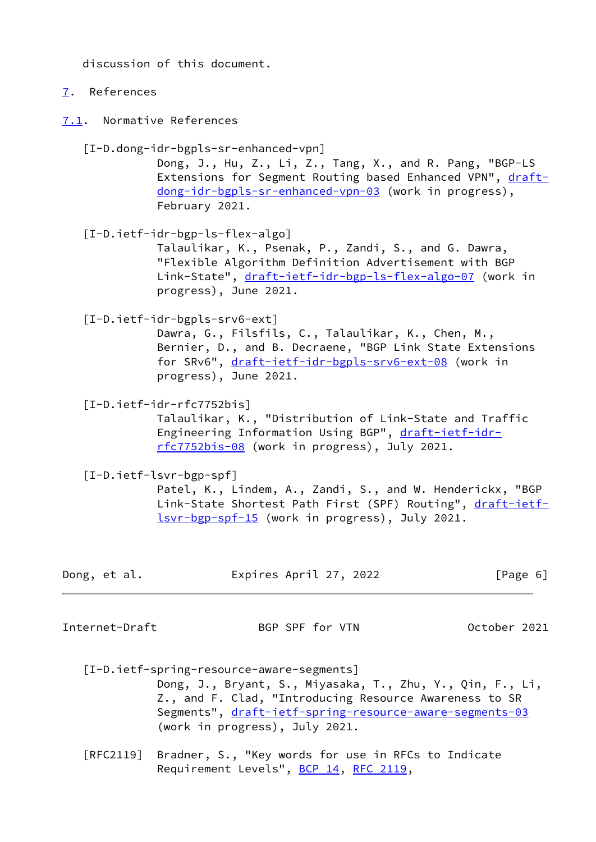discussion of this document.

# <span id="page-6-0"></span>[7](#page-6-0). References

<span id="page-6-1"></span>[7.1](#page-6-1). Normative References

<span id="page-6-4"></span> [I-D.dong-idr-bgpls-sr-enhanced-vpn] Dong, J., Hu, Z., Li, Z., Tang, X., and R. Pang, "BGP-LS Extensions for Segment Routing based Enhanced VPN", [draft](https://datatracker.ietf.org/doc/pdf/draft-dong-idr-bgpls-sr-enhanced-vpn-03) [dong-idr-bgpls-sr-enhanced-vpn-03](https://datatracker.ietf.org/doc/pdf/draft-dong-idr-bgpls-sr-enhanced-vpn-03) (work in progress), February 2021.

<span id="page-6-6"></span> [I-D.ietf-idr-bgp-ls-flex-algo] Talaulikar, K., Psenak, P., Zandi, S., and G. Dawra, "Flexible Algorithm Definition Advertisement with BGP Link-State", [draft-ietf-idr-bgp-ls-flex-algo-07](https://datatracker.ietf.org/doc/pdf/draft-ietf-idr-bgp-ls-flex-algo-07) (work in progress), June 2021.

<span id="page-6-7"></span>[I-D.ietf-idr-bgpls-srv6-ext]

 Dawra, G., Filsfils, C., Talaulikar, K., Chen, M., Bernier, D., and B. Decraene, "BGP Link State Extensions for SRv6", [draft-ietf-idr-bgpls-srv6-ext-08](https://datatracker.ietf.org/doc/pdf/draft-ietf-idr-bgpls-srv6-ext-08) (work in progress), June 2021.

<span id="page-6-5"></span>[I-D.ietf-idr-rfc7752bis]

 Talaulikar, K., "Distribution of Link-State and Traffic Engineering Information Using BGP", [draft-ietf-idr](https://datatracker.ietf.org/doc/pdf/draft-ietf-idr-rfc7752bis-08) [rfc7752bis-08](https://datatracker.ietf.org/doc/pdf/draft-ietf-idr-rfc7752bis-08) (work in progress), July 2021.

[I-D.ietf-lsvr-bgp-spf]

 Patel, K., Lindem, A., Zandi, S., and W. Henderickx, "BGP Link-State Shortest Path First (SPF) Routing", [draft-ietf](https://datatracker.ietf.org/doc/pdf/draft-ietf-lsvr-bgp-spf-15) [lsvr-bgp-spf-15](https://datatracker.ietf.org/doc/pdf/draft-ietf-lsvr-bgp-spf-15) (work in progress), July 2021.

| Dong, et al. | Expires April 27, 2022 | [Page 6] |
|--------------|------------------------|----------|
|--------------|------------------------|----------|

<span id="page-6-2"></span>Internet-Draft BGP SPF for VTN October 2021

<span id="page-6-3"></span> [I-D.ietf-spring-resource-aware-segments] Dong, J., Bryant, S., Miyasaka, T., Zhu, Y., Qin, F., Li, Z., and F. Clad, "Introducing Resource Awareness to SR Segments", [draft-ietf-spring-resource-aware-segments-03](https://datatracker.ietf.org/doc/pdf/draft-ietf-spring-resource-aware-segments-03) (work in progress), July 2021.

 [RFC2119] Bradner, S., "Key words for use in RFCs to Indicate Requirement Levels", [BCP 14](https://datatracker.ietf.org/doc/pdf/bcp14), [RFC 2119](https://datatracker.ietf.org/doc/pdf/rfc2119),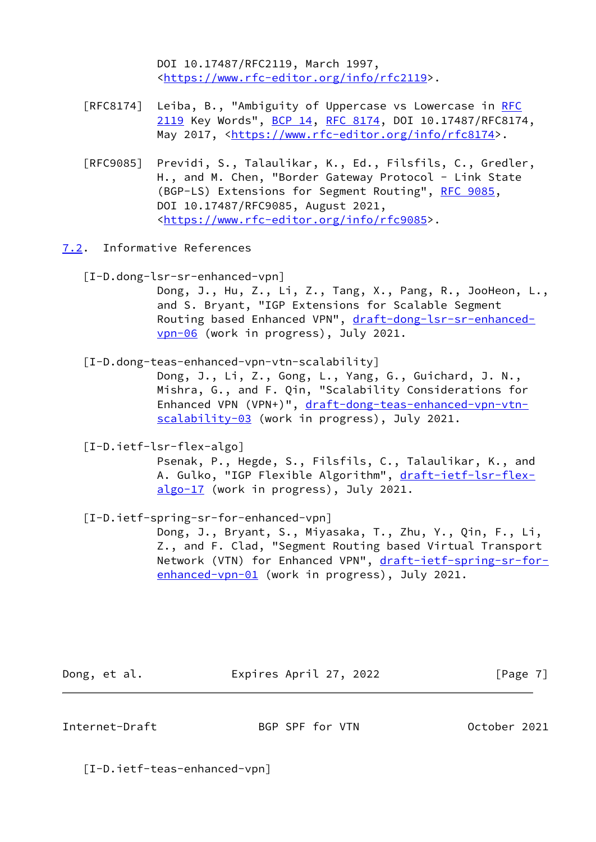DOI 10.17487/RFC2119, March 1997, <[https://www.rfc-editor.org/info/rfc2119>](https://www.rfc-editor.org/info/rfc2119).

- [RFC8174] Leiba, B., "Ambiguity of Uppercase vs Lowercase in [RFC](https://datatracker.ietf.org/doc/pdf/rfc2119) [2119](https://datatracker.ietf.org/doc/pdf/rfc2119) Key Words", [BCP 14](https://datatracker.ietf.org/doc/pdf/bcp14), [RFC 8174,](https://datatracker.ietf.org/doc/pdf/rfc8174) DOI 10.17487/RFC8174, May 2017, [<https://www.rfc-editor.org/info/rfc8174](https://www.rfc-editor.org/info/rfc8174)>.
- [RFC9085] Previdi, S., Talaulikar, K., Ed., Filsfils, C., Gredler, H., and M. Chen, "Border Gateway Protocol - Link State (BGP-LS) Extensions for Segment Routing", [RFC 9085](https://datatracker.ietf.org/doc/pdf/rfc9085), DOI 10.17487/RFC9085, August 2021, <[https://www.rfc-editor.org/info/rfc9085>](https://www.rfc-editor.org/info/rfc9085).
- <span id="page-7-3"></span><span id="page-7-0"></span>[7.2](#page-7-0). Informative References
	- [I-D.dong-lsr-sr-enhanced-vpn]

 Dong, J., Hu, Z., Li, Z., Tang, X., Pang, R., JooHeon, L., and S. Bryant, "IGP Extensions for Scalable Segment Routing based Enhanced VPN", [draft-dong-lsr-sr-enhanced](https://datatracker.ietf.org/doc/pdf/draft-dong-lsr-sr-enhanced-vpn-06) [vpn-06](https://datatracker.ietf.org/doc/pdf/draft-dong-lsr-sr-enhanced-vpn-06) (work in progress), July 2021.

#### <span id="page-7-4"></span>[I-D.dong-teas-enhanced-vpn-vtn-scalability]

 Dong, J., Li, Z., Gong, L., Yang, G., Guichard, J. N., Mishra, G., and F. Qin, "Scalability Considerations for Enhanced VPN (VPN+)", [draft-dong-teas-enhanced-vpn-vtn](https://datatracker.ietf.org/doc/pdf/draft-dong-teas-enhanced-vpn-vtn-scalability-03) [scalability-03](https://datatracker.ietf.org/doc/pdf/draft-dong-teas-enhanced-vpn-vtn-scalability-03) (work in progress), July 2021.

<span id="page-7-5"></span>[I-D.ietf-lsr-flex-algo]

 Psenak, P., Hegde, S., Filsfils, C., Talaulikar, K., and A. Gulko, "IGP Flexible Algorithm", [draft-ietf-lsr-flex](https://datatracker.ietf.org/doc/pdf/draft-ietf-lsr-flex-algo-17) [algo-17](https://datatracker.ietf.org/doc/pdf/draft-ietf-lsr-flex-algo-17) (work in progress), July 2021.

[I-D.ietf-spring-sr-for-enhanced-vpn]

 Dong, J., Bryant, S., Miyasaka, T., Zhu, Y., Qin, F., Li, Z., and F. Clad, "Segment Routing based Virtual Transport Network (VTN) for Enhanced VPN", [draft-ietf-spring-sr-for](https://datatracker.ietf.org/doc/pdf/draft-ietf-spring-sr-for-enhanced-vpn-01) [enhanced-vpn-01](https://datatracker.ietf.org/doc/pdf/draft-ietf-spring-sr-for-enhanced-vpn-01) (work in progress), July 2021.

Dong, et al. **Expires April 27, 2022** [Page 7]

<span id="page-7-1"></span>Internet-Draft BGP SPF for VTN October 2021

<span id="page-7-2"></span>[I-D.ietf-teas-enhanced-vpn]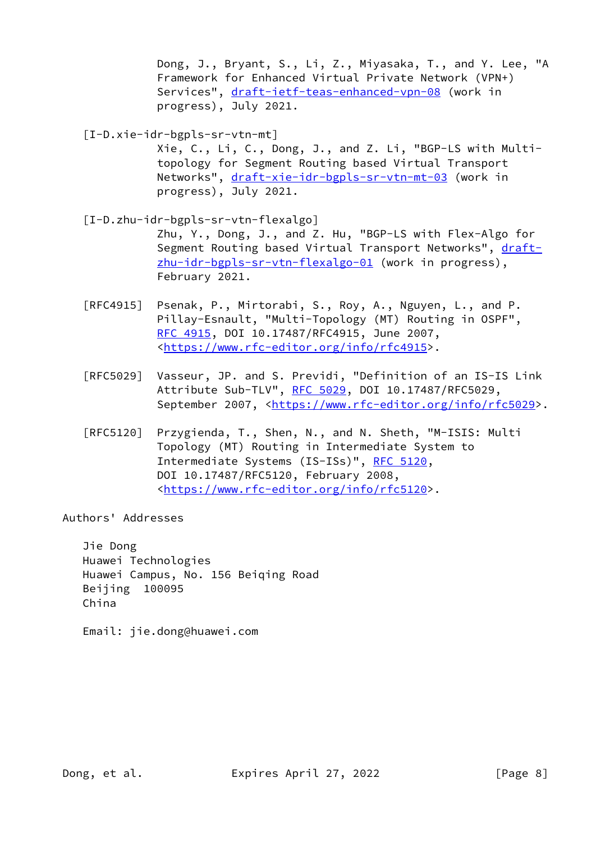Dong, J., Bryant, S., Li, Z., Miyasaka, T., and Y. Lee, "A Framework for Enhanced Virtual Private Network (VPN+) Services", [draft-ietf-teas-enhanced-vpn-08](https://datatracker.ietf.org/doc/pdf/draft-ietf-teas-enhanced-vpn-08) (work in progress), July 2021.

<span id="page-8-0"></span>[I-D.xie-idr-bgpls-sr-vtn-mt]

 Xie, C., Li, C., Dong, J., and Z. Li, "BGP-LS with Multi topology for Segment Routing based Virtual Transport Networks", [draft-xie-idr-bgpls-sr-vtn-mt-03](https://datatracker.ietf.org/doc/pdf/draft-xie-idr-bgpls-sr-vtn-mt-03) (work in progress), July 2021.

<span id="page-8-1"></span> [I-D.zhu-idr-bgpls-sr-vtn-flexalgo] Zhu, Y., Dong, J., and Z. Hu, "BGP-LS with Flex-Algo for Segment Routing based Virtual Transport Networks", [draft](https://datatracker.ietf.org/doc/pdf/draft-zhu-idr-bgpls-sr-vtn-flexalgo-01) [zhu-idr-bgpls-sr-vtn-flexalgo-01](https://datatracker.ietf.org/doc/pdf/draft-zhu-idr-bgpls-sr-vtn-flexalgo-01) (work in progress), February 2021.

- [RFC4915] Psenak, P., Mirtorabi, S., Roy, A., Nguyen, L., and P. Pillay-Esnault, "Multi-Topology (MT) Routing in OSPF", [RFC 4915,](https://datatracker.ietf.org/doc/pdf/rfc4915) DOI 10.17487/RFC4915, June 2007, <[https://www.rfc-editor.org/info/rfc4915>](https://www.rfc-editor.org/info/rfc4915).
- [RFC5029] Vasseur, JP. and S. Previdi, "Definition of an IS-IS Link Attribute Sub-TLV", [RFC 5029,](https://datatracker.ietf.org/doc/pdf/rfc5029) DOI 10.17487/RFC5029, September 2007, <[https://www.rfc-editor.org/info/rfc5029>](https://www.rfc-editor.org/info/rfc5029).
- [RFC5120] Przygienda, T., Shen, N., and N. Sheth, "M-ISIS: Multi Topology (MT) Routing in Intermediate System to Intermediate Systems (IS-ISs)", [RFC 5120,](https://datatracker.ietf.org/doc/pdf/rfc5120) DOI 10.17487/RFC5120, February 2008, <[https://www.rfc-editor.org/info/rfc5120>](https://www.rfc-editor.org/info/rfc5120).

Authors' Addresses

 Jie Dong Huawei Technologies Huawei Campus, No. 156 Beiqing Road Beijing 100095 China

Email: jie.dong@huawei.com